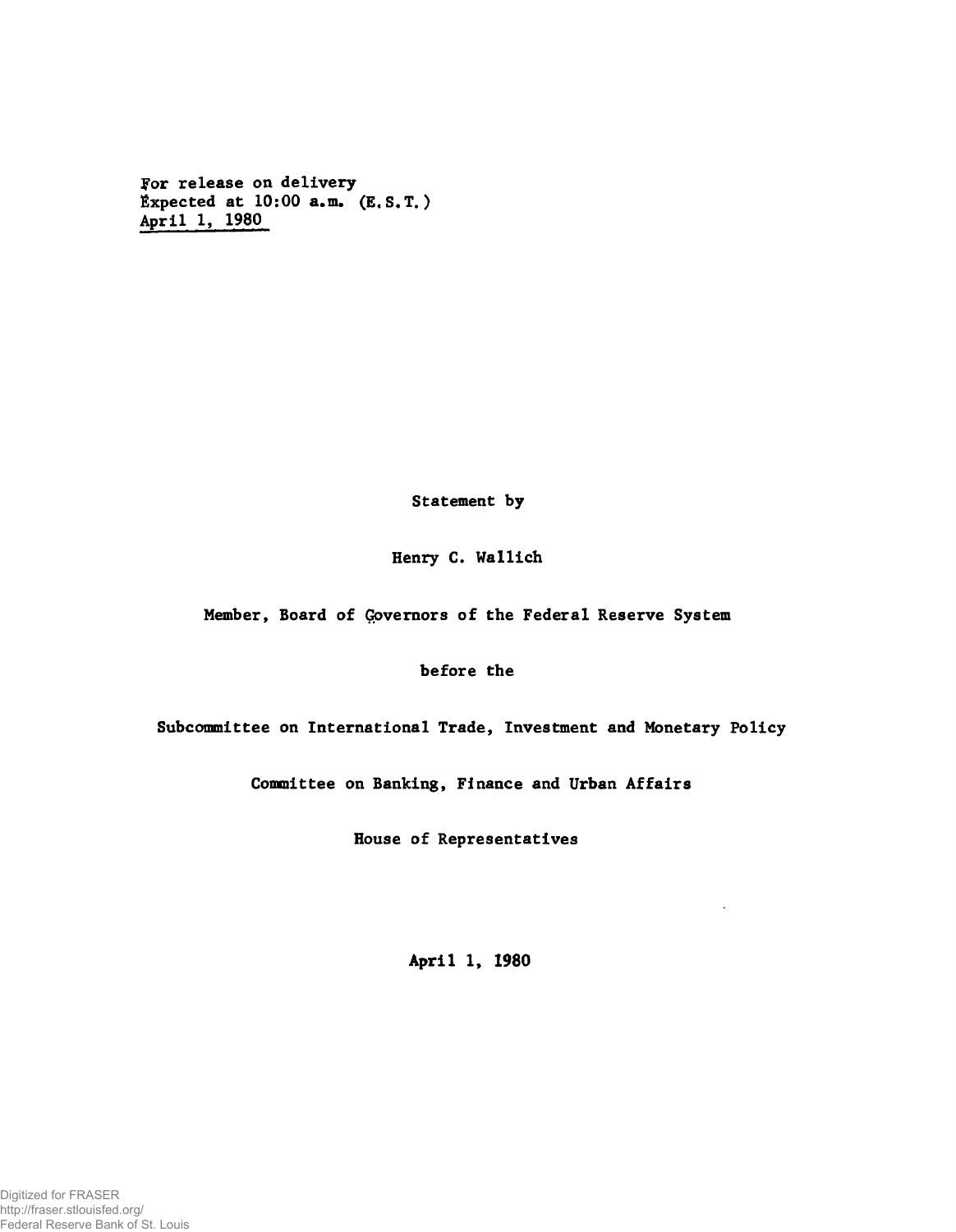For release on delivery Expected at  $10:00$  a.m.  $(E, S, T)$ April 1, 1980

Statement by

Henry C. Wallich

Member, Board of Governors of the Federal Reserve System

before the

Subcommittee on International Trade, Investment and Monetary Policy

Committee on Banking, Finance and Urban Affairs

House of Representatives

**April 1, 1980**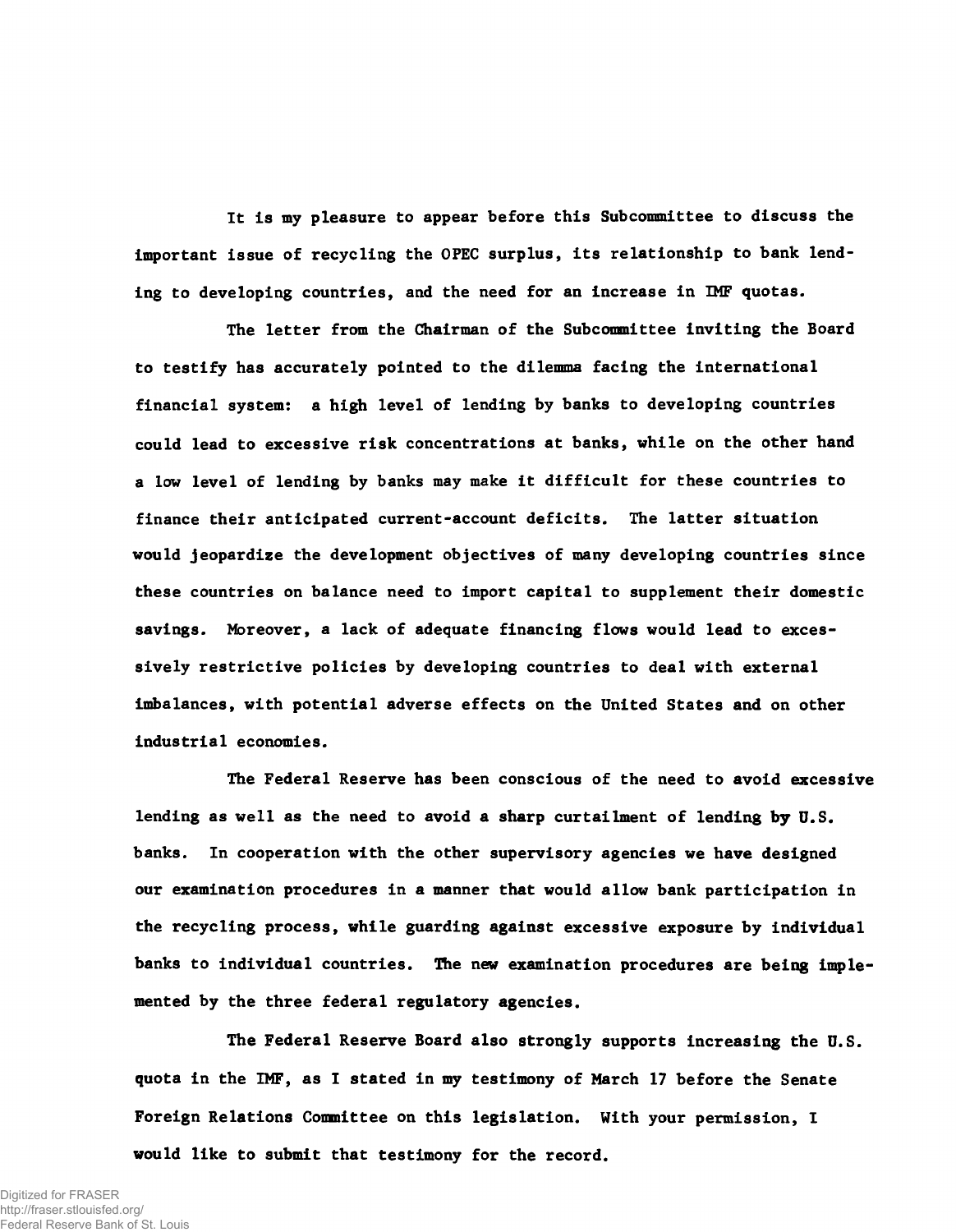It is my pleasure to appear before this Subcommittee to discuss the important issue of recycling the OPEC surplus, its relationship to bank lending to developing countries, and the need for an increase in IMF quotas.

The letter from the Chairman of the Subcommittee inviting the Board to testify has accurately pointed to the dilemma facing the international financial system: a high level of lending by banks to developing countries could lead to excessive risk concentrations at banks, while on the other hand a low level of lending by banks may make it difficult for these countries to finance their anticipated current-account deficits. The latter situation would jeopardize the development objectives of many developing countries since these countries on balance need to import capital to supplement their domestic savings. Moreover, a lack of adequate financing flows would lead to excessively restrictive policies by developing countries to deal with external imbalances, with potential adverse effects on the United States and on other industrial economies.

The Federal Reserve has been conscious of the need to avoid excessive lending as well as the need to avoid a sharp curtailment of lending by U.S. banks. In cooperation with the other supervisory agencies we have designed our examination procedures in a manner that would allow bank participation in the recycling process, while guarding against excessive exposure by individual banks to individual countries. The new examination procedures are being implemented by the three federal regulatory agencies.

The Federal Reserve Board also strongly supports increasing the U.S. quota in the IMF, as I stated in my testimony of March 17 before the Senate Foreign Relations Committee on this legislation. With your permission, I would like to submit that testimony for the record.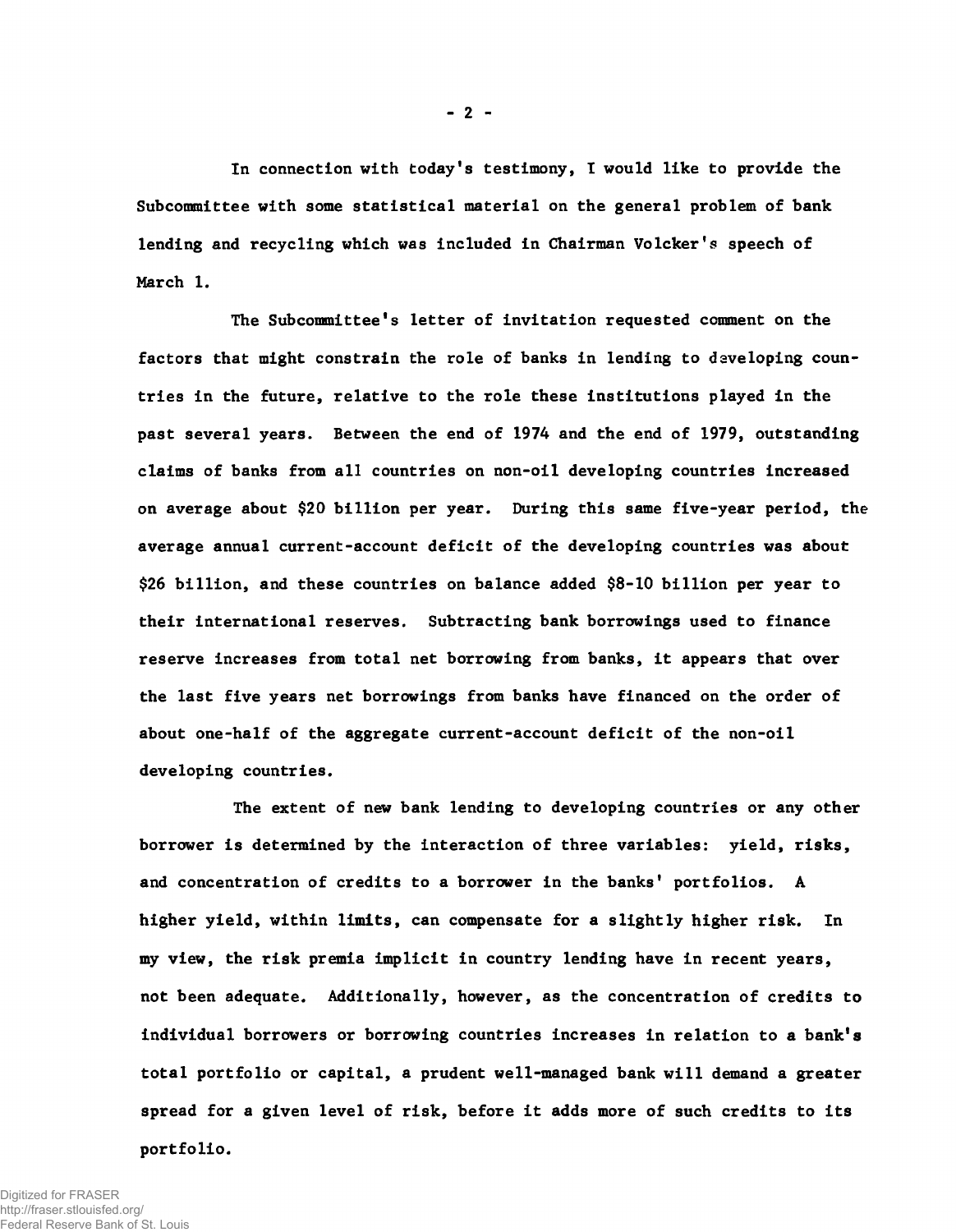In connection with today's testimony, I would like to provide the Subcommittee with some statistical material on the general problem of bank lending and recycling which was included in Chairman Volcker's speech of March 1.

The Subcommittee's letter of invitation requested comment on the factors that might constrain the role of banks in lending to daveloping countries in the future, relative to the role these institutions played in the past several years. Between the end of 1974 and the end of 1979, outstanding claims of banks from all countries on non-oil developing countries increased on average about \$20 billion per year. During this same five-year period, the average annual current-account deficit of the developing countries was about \$26 billion, and these countries on balance added \$8-10 billion per year to their international reserves. Subtracting bank borrowings used to finance reserve increases from total net borrowing from banks, it appears that over the last five years net borrowings from banks have financed on the order of about one-half of the aggregate current-account deficit of the non-oil developing countries.

The extent of new bank lending to developing countries or any other borrower is determined by the interaction of three variables: yield, risks, and concentration of credits to a borrower in the banks' portfolios. A higher yield, within limits, can compensate for a slightly higher risk. In my view, the risk premia implicit in country lending have in recent years, not been adequate. Additionally, however, as the concentration of credits to individual borrowers or borrowing countries increases in relation to a bank's total portfolio or capital, a prudent well-managed bank will demand a greater spread for a given level of risk, before it adds more of such credits to its portfolio.

**- 2 -**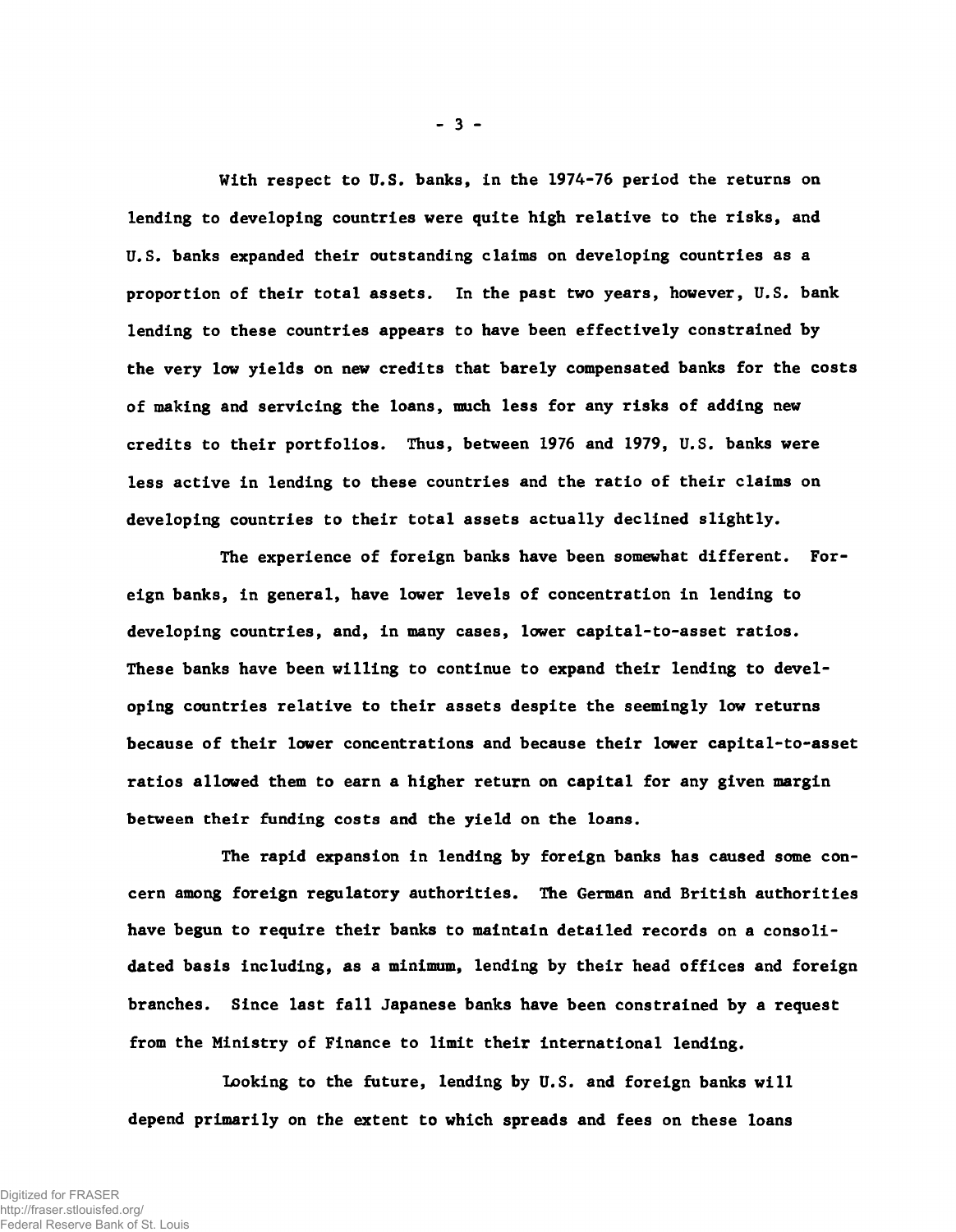With respect to U.S. banks, in the 1974-76 period the returns on lending to developing countries were quite high relative to the risks, and U.S. banks expanded their outstanding claims on developing countries as a proportion of their total assets. In the past two years, however, U.S. bank lending to these countries appears to have been effectively constrained by the very low yields on new credits that barely compensated banks for the costs of making and servicing the loans, much less for any risks of adding new credits to their portfolios. Thus, between 1976 and 1979, U.S. banks were less active in lending to these countries and the ratio of their claims on developing countries to their total assets actually declined slightly.

The experience of foreign banks have been somewhat different. Foreign banks, in general, have lower levels of concentration in lending to developing countries, and, in many cases, lower capital-to-asset ratios. These banks have been willing to continue to expand their lending to developing countries relative to their assets despite the seemingly low returns because of their lower concentrations and because their lower capital-to-asset ratios allowed them to earn a higher return on capital for any given margin between their funding costs and the yield on the loans.

The rapid expansion in lending by foreign banks has caused some concern among foreign regulatory authorities. The German and British authorities have begun to require their banks to maintain detailed records on a consolidated basis including, as a minimum, lending by their head offices and foreign branches. Since last fall Japanese banks have been constrained by a request from the Ministry of Finance to limit their international lending.

Looking to the future, lending by U.S. and foreign banks will depend primarily on the extent to which spreads and fees on these loans

**- 3 -**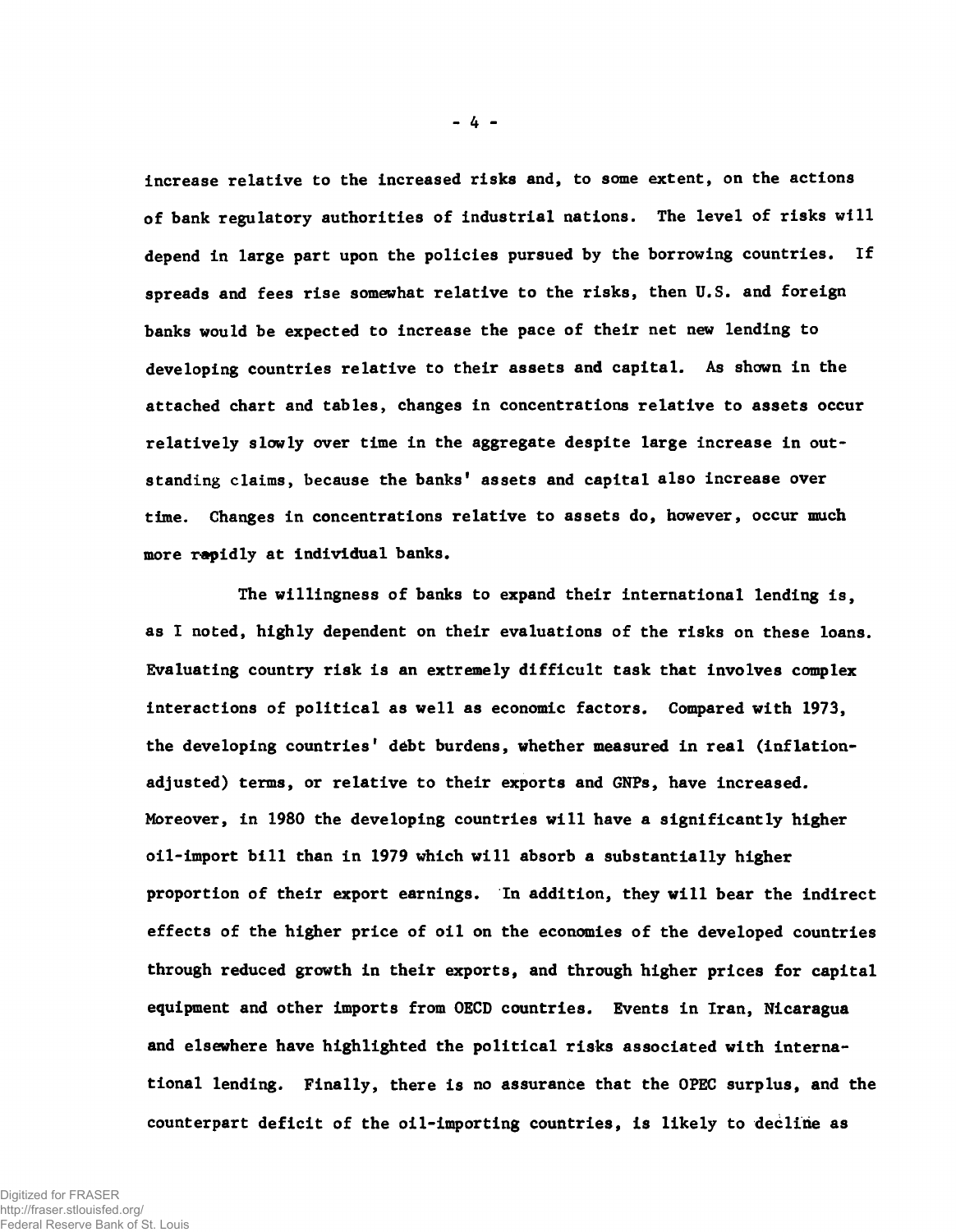increase relative to the increased risks and, to some extent, on the actions of bank regulatory authorities of industrial nations. The level of risks will depend in large part upon the policies pursued by the borrowing countries. If spreads and fees rise somewhat relative to the risks, then U.S. and foreign banks would be expected to increase the pace of their net new lending to developing countries relative to their assets and capital. As shown in the attached chart and tables, changes in concentrations relative to assets occur relatively slowly over time in the aggregate despite large increase in outstanding claims, because the banks' assets and capital also increase over time. Changes in concentrations relative to assets do, however, occur much more rapidly at individual banks.

The willingness of banks to expand their international lending is, as I noted, highly dependent on their evaluations of the risks on these loans. Evaluating country risk is an extremely difficult task that involves complex interactions of political as well as economic factors. Compared with 1973, the developing countries' debt burdens, whether measured in real (inflationadjusted) terms, or relative to their exports and GNPs, have increased. Moreover, in 1980 the developing countries will have a significantly higher oil-import bill than in 1979 which will absorb a substantially higher proportion of their export earnings. In addition, they will bear the indirect effects of the higher price of oil on the economies of the developed countries through reduced growth in their exports, and through higher prices for capital equipment and other imports from OECD countries. Events in Iran, Nicaragua and elsewhere have highlighted the political risks associated with international lending. Finally, there is no assurance that the OPEC surplus, and the counterpart deficit of the oil-importing countries, is likely to decline as

- 4 -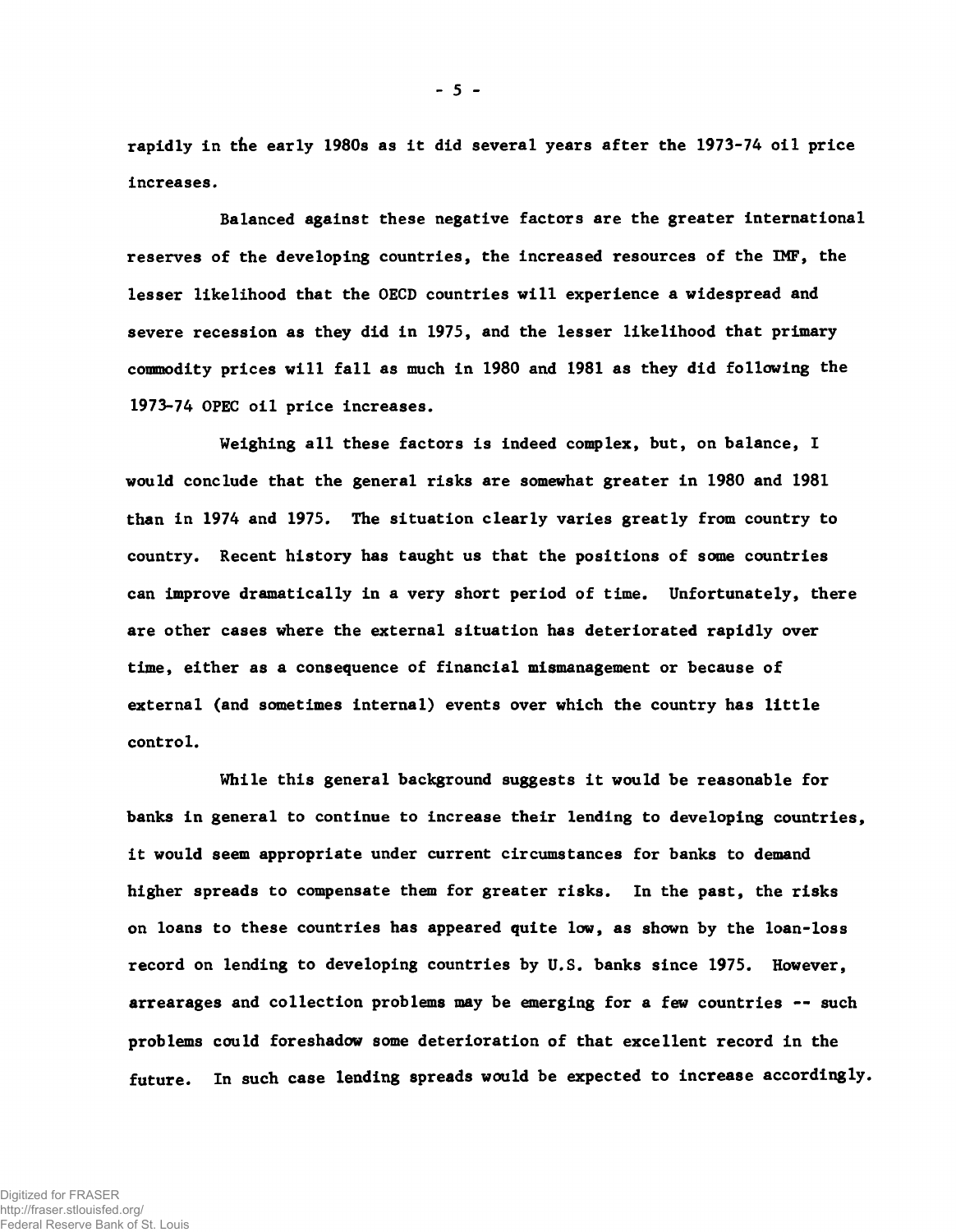rapidly in the early 1980s as it did several years after the 1973-74 oil price increases.

Balanced against these negative factors are the greater international reserves of the developing countries, the increased resources of the IMF, the lesser likelihood that the OECD countries will experience a widespread and severe recession as they did in 1975, and the lesser likelihood that primary commodity prices will fall as much in 1980 and 1981 as they did following the 1973-74 OPEC oil price increases.

Weighing all these factors is indeed complex, but, on balance, I would conclude that the general risks are somewhat greater in 1980 and 1981 than in 1974 and 1975. The situation clearly varies greatly from country to country. Recent history has taught us that the positions of some countries can improve dramatically in a very short period of time. Unfortunately, there are other cases where the external situation has deteriorated rapidly over time, either as a consequence of financial mismanagement or because of external (and sometimes internal) events over which the country has little control.

While this general background suggests it would be reasonable for banks in general to continue to increase their lending to developing countries, it would seem appropriate under current circumstances for banks to demand higher spreads to compensate them for greater risks. In the past, the risks on loans to these countries has appeared quite low, as shown by the loan-loss record on lending to developing countries by U.S. banks since 1975. However, arrearages and collection problems may be emerging for a few countries — such problems could foreshadow some deterioration of that excellent record in the future. In such case lending spreads would be expected to increase accordingly.

- 5 -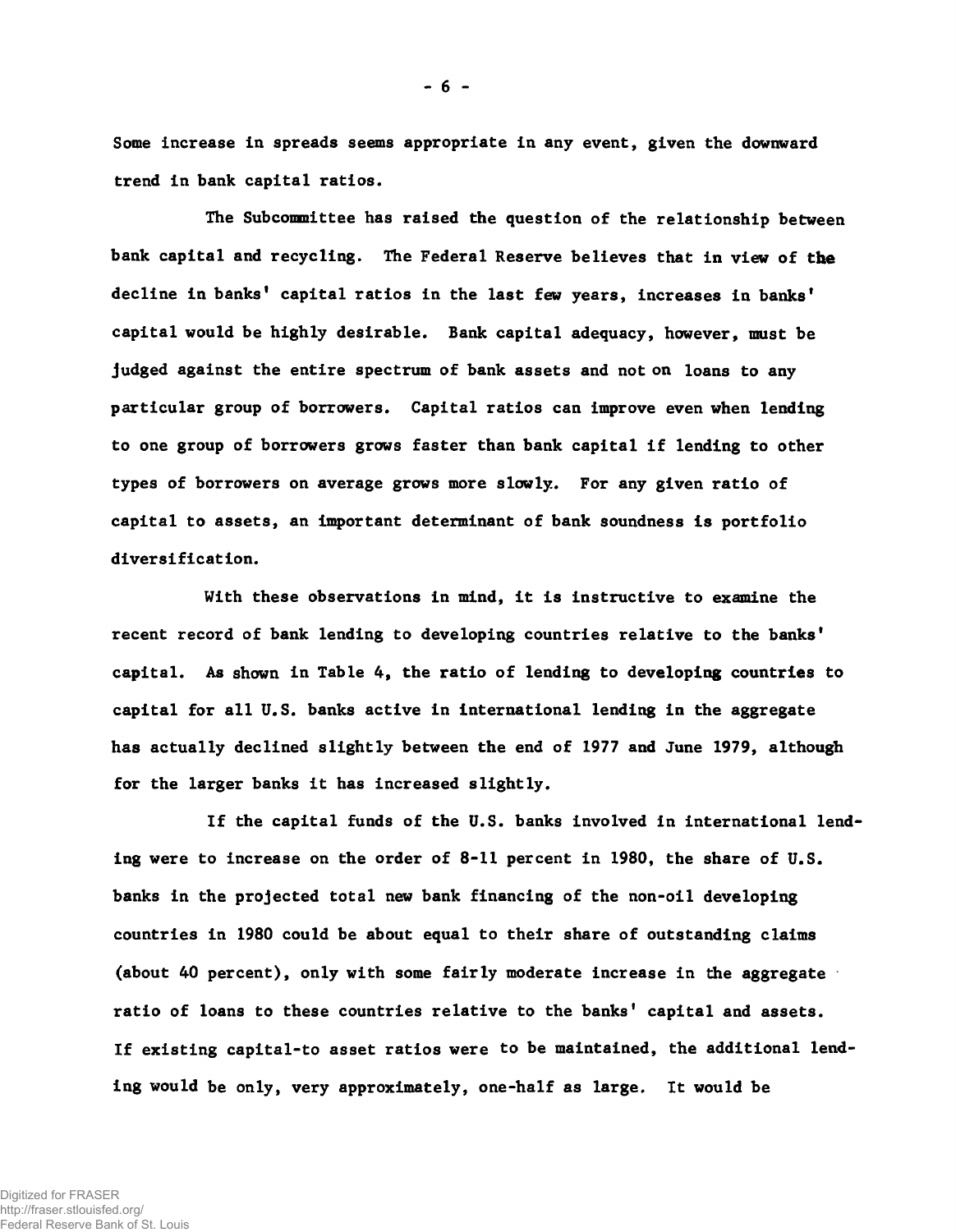Some increase in spreads seems appropriate in any event, given the downward trend in bank capital ratios.

The Subcommittee has raised the question of the relationship between bank capital and recycling. The Federal Reserve believes that in view of the decline in banks' capital ratios in the last few years, increases in banks' capital would be highly desirable. Bank capital adequacy, however, must be judged against the entire spectrum of bank assets and not on loans to any particular group of borrowers. Capital ratios can improve even when lending to one group of borrowers grows faster than bank capital if lending to other types of borrowers on average grows more slowly. For any given ratio of capital to assets, an important determinant of bank soundness is portfolio diversi ficat ion.

With these observations in mind, it is instructive to examine the recent record of bank lending to developing countries relative to the banks' capital. As shown in Table 4, the ratio of lending to developing countries to capital for all U.S. banks active in international lending in the aggregate has actually declined slightly between the end of 1977 and June 1979, although for the larger banks it has increased slightly.

If the capital funds of the U.S. banks involved in international lending were to increase on the order of 8-11 percent in 1980, the share of U.S. banks in the projected total new bank financing of the non-oil developing countries in 1980 could be about equal to their share of outstanding claims (about 40 percent), only with some fairly moderate increase in the aggregate ratio of loans to these countries relative to the banks' capital and assets. If existing capital-to asset ratios were to be maintained, the additional lending would be only, very approximately, one-half as large. It would be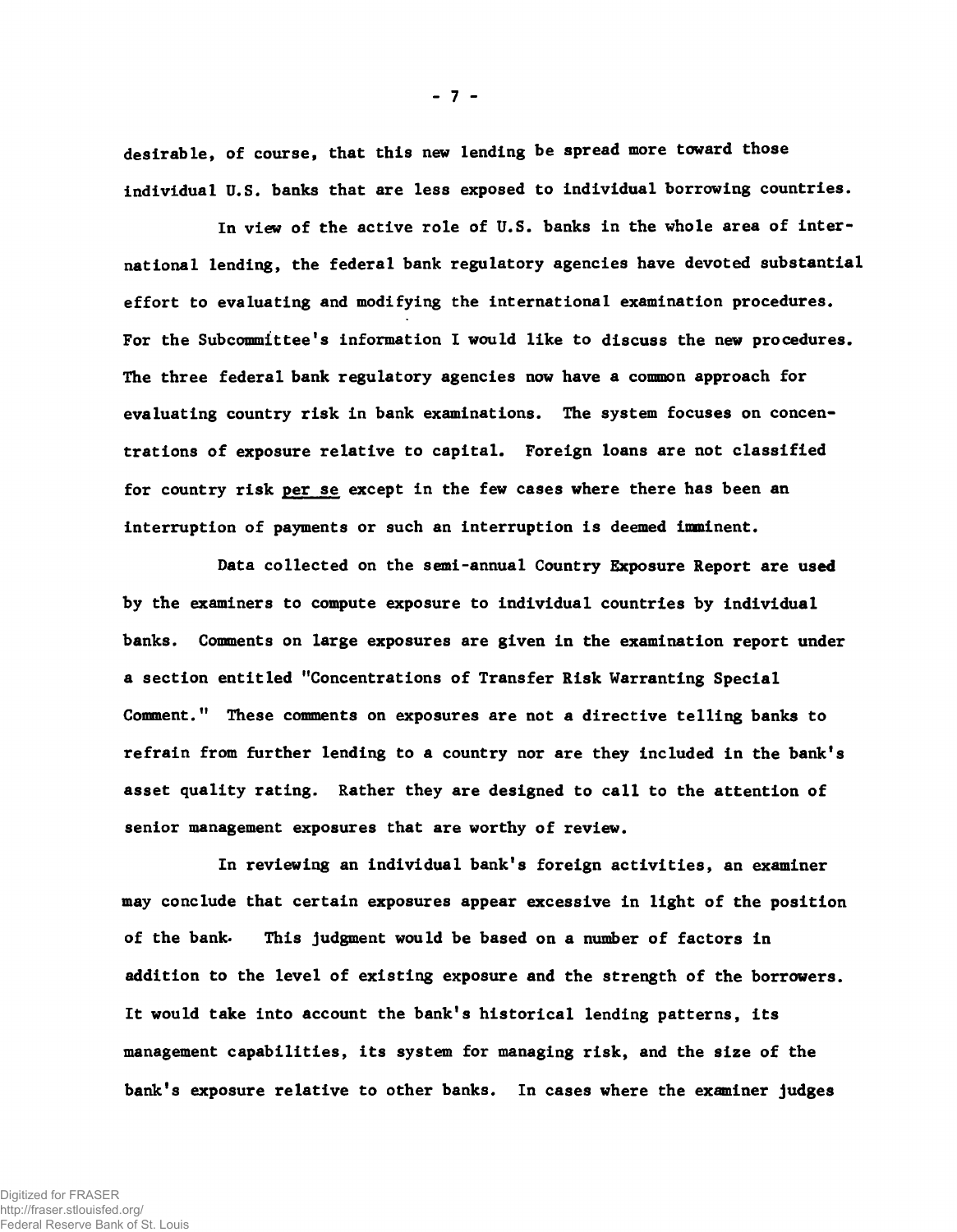desirable, of course, that this new lending be spread more toward those individual U.S. banks that are less exposed to individual borrowing countries.

In view of the active role of U.S. banks in the whole area of international lending, the federal bank regulatory agencies have devoted substantial effort to evaluating and modifying the international examination procedures. For the Subcommittee's information I would like to discuss the new procedures. The three federal bank regulatory agencies now have a common approach for evaluating country risk in bank examinations. The system focuses on concentrations of exposure relative to capital. Foreign loans are not classified for country risk per se except in the few cases where there has been an interruption of payments or such an interruption is deemed imminent.

Data collected on the semi-annual Country Exposure Report are used by the examiners to compute exposure to individual countries by individual banks. Comments on large exposures are given in the examination report under a section entitled "Concentrations of Transfer Risk Warranting Special Comment." These comments on exposures are not a directive telling banks to refrain from further lending to a country nor are they included in the bank's asset quality rating. Rather they are designed to call to the attention of senior management exposures that are worthy of review.

In reviewing an individual bank's foreign activities, an examiner may conclude that certain exposures appear excessive in light of the position of the bank. This judgment would be based on a number of factors in addition to the level of existing exposure and the strength of the borrowers. It would take into account the bank's historical lending patterns, its management capabilities, its system for managing risk, and the size of the bank's exposure relative to other banks. In cases where the examiner judges

**- 7 -**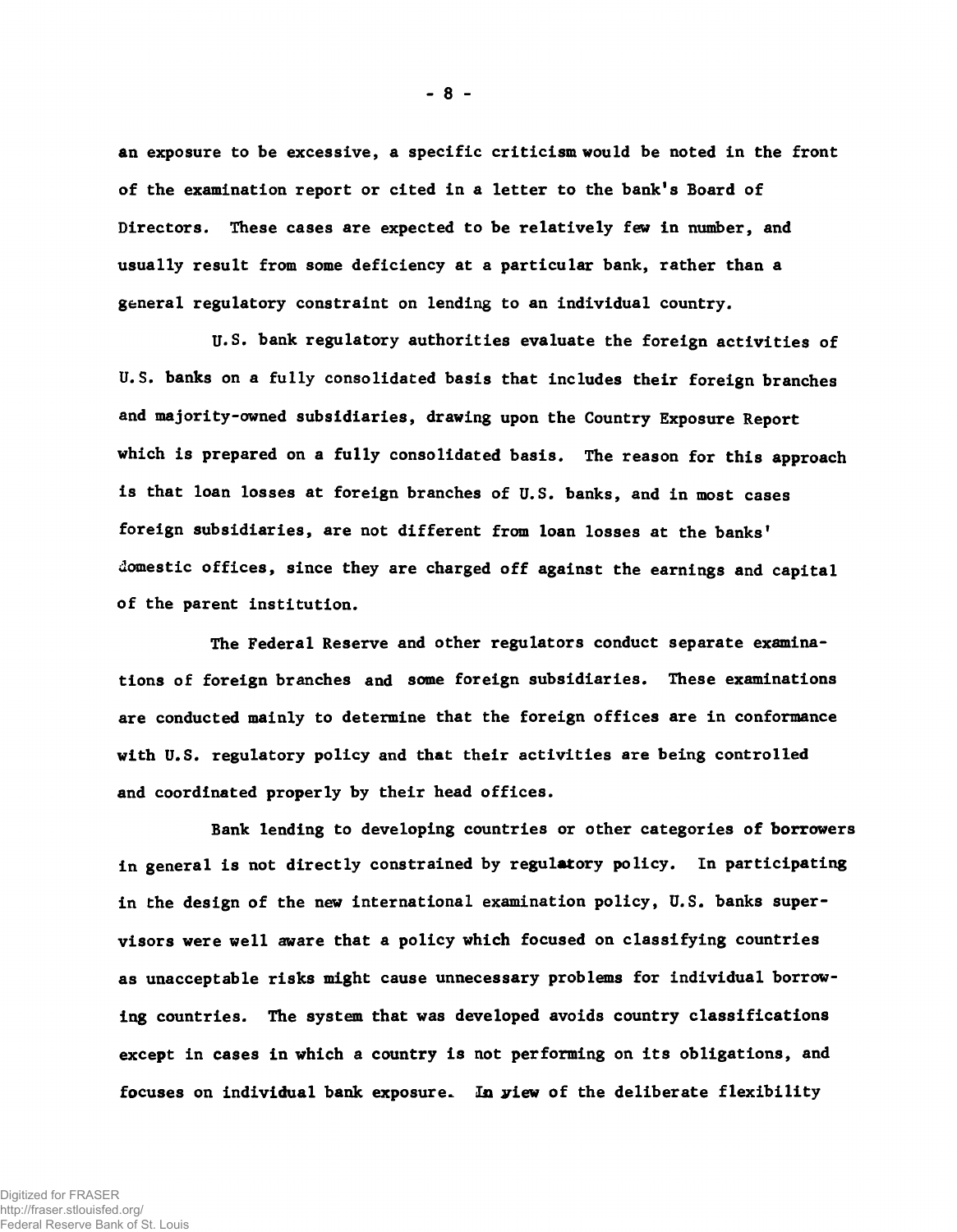an exposure to be excessive, a specific criticism would be noted in the front of the examination report or cited in a letter to the bank's Board of Directors. These cases are expected to be relatively few in number, and usually result from some deficiency at a particular bank, rather than a general regulatory constraint on lending to an individual country.

U.S. bank regulatory authorities evaluate the foreign activities of U.S. banks on a fully consolidated basis that includes their foreign branches and majority-owned subsidiaries, drawing upon the Country Exposure Report which is prepared on a fully consolidated basis. The reason for this approach is that loan losses at foreign branches of U.S. banks, and in most cases foreign subsidiaries, are not different from loan losses at the banks' domestic offices, since they are charged off against the earnings and capital of the parent institution.

The Federal Reserve and other regulators conduct separate examinations of foreign branches and some foreign subsidiaries. These examinations are conducted mainly to determine that the foreign offices are in conformance with U.S. regulatory policy and that their activities are being controlled and coordinated properly by their head offices.

Bank lending to developing countries or other categories of borrowers in general is not directly constrained by regulatory policy. In participating in the design of the new international examination policy, U.S. banks supervisors were well aware that a policy which focused on classifying countries as unacceptable risks might cause unnecessary problems for individual borrowing countries. The system that was developed avoids country classifications except in cases in which a country is not performing on its obligations, and focuses on individual bank exposure.. In yiew of the deliberate flexibility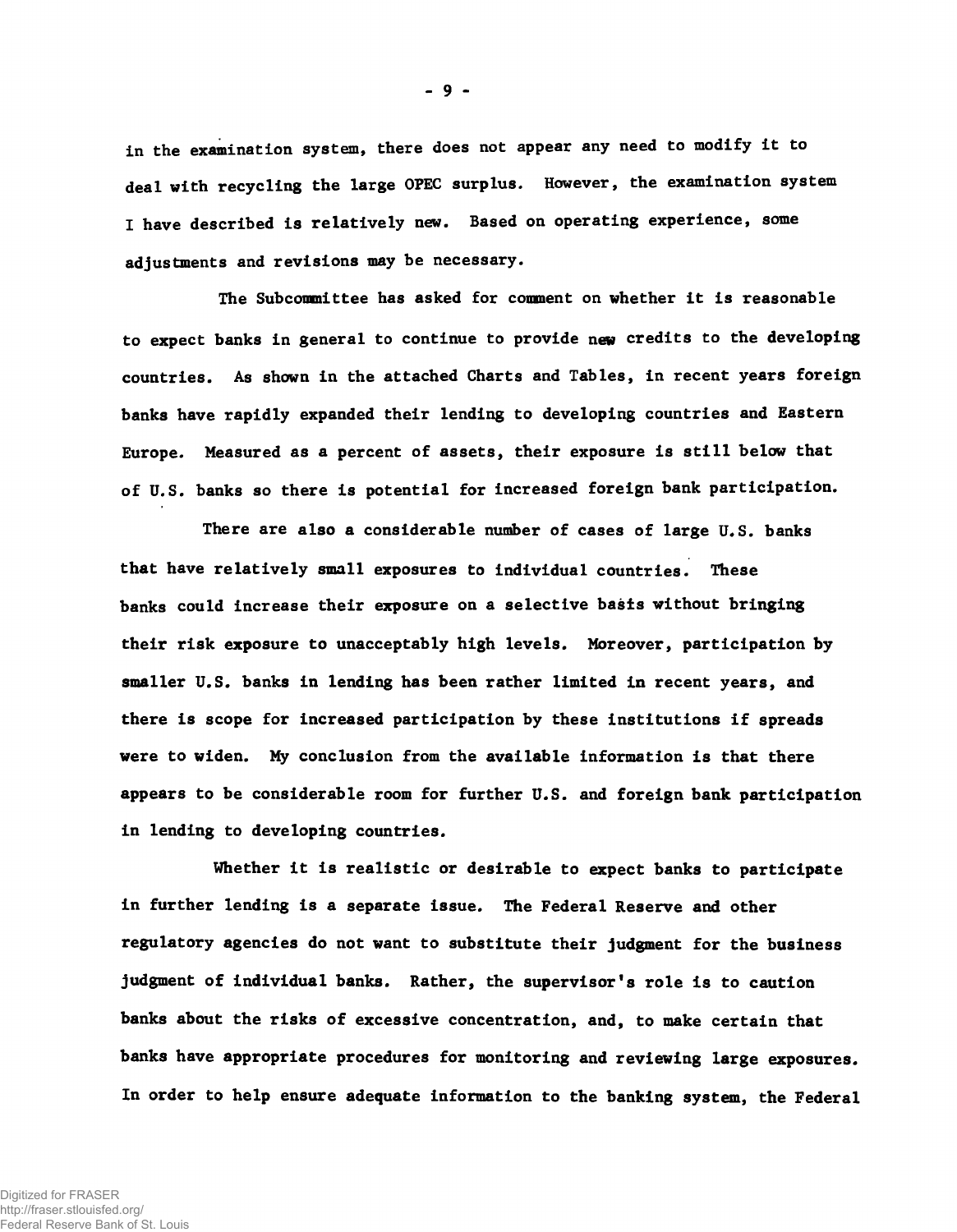in the examination system, there does not appear any need to modify it to deal with recycling the large OPEC surplus. However, the examination system I have described is relatively new. Based on operating experience, some adjustments and revisions may be necessary.

**- 9 -**

The Subcommittee has asked for comment on whether it is reasonable to expect banks in general to continue to provide new credits to the developing countries. As shown in the attached Charts and Tables, in recent years foreign banks have rapidly expanded their lending to developing countries and Eastern Europe. Measured as a percent of assets, their exposure is still below that of U.S. banks so there is potential for increased foreign bank participation.

There are also a considerable number of cases of large U.S. banks that have relatively small exposures to individual countries. These banks could increase their exposure on a selective basis without bringing their risk exposure to unacceptably high levels. Moreover, participation by smaller U.S. banks in lending has been rather limited in recent years, and there is scope for increased participation by these institutions if spreads were to widen. My conclusion from the available information is that there appears to be considerable room for further U.S. and foreign bank participation in lending to developing countries.

Whether it is realistic or desirable to expect banks to participate in further lending is a separate issue. The Federal Reserve and other regulatory agencies do not want to substitute their judgment for the business judgment of individual banks. Rather, the supervisor's role is to caution banks about the risks of excessive concentration, and, to make certain that banks have appropriate procedures for monitoring and reviewing large exposures. In order to help ensure adequate information to the banking system, the Federal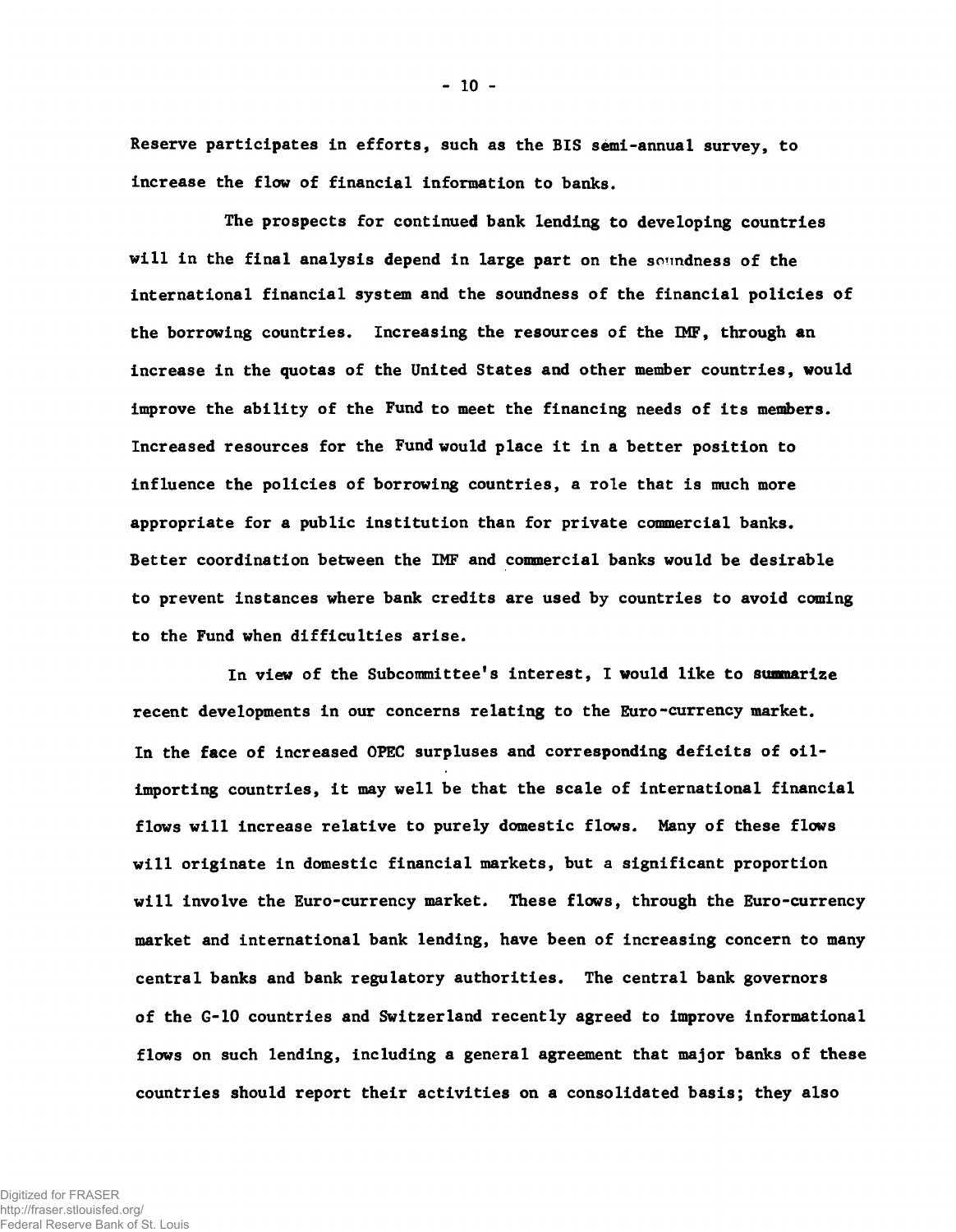Reserve participates in efforts, such as the BIS semi-annual survey, to increase the flow of financial information to banks.

The prospects for continued bank lending to developing countries will in the final analysis depend in large part on the soundness of the international financial system and the soundness of the financial policies of the borrowing countries. Increasing the resources of the IMF, through an increase in the quotas of the United States and other member countries, would improve the ability of the Fund to meet the financing needs of its members. Increased resources for the Fund would place it in a better position to influence the policies of borrowing countries, a role that is much more appropriate for a public institution than for private commercial banks. Better coordination between the IMF and commercial banks would be desirable to prevent instances where bank credits are used by countries to avoid coming to the Fund when difficulties arise.

In view of the Subcommittee's interest, I would like to summarize recent developments in our concerns relating to the Euro-currency market. In the face of increased OPEC surpluses and corresponding deficits of oilimporting countries, it may well be that the scale of international financial flows will increase relative to purely domestic flows. Many of these flows will originate in domestic financial markets, but a significant proportion will involve the Euro-currency market. These flows, through the Euro-currency market and international bank lending, have been of increasing concern to many central banks and bank regulatory authorities. The central bank governors of the G-10 countries and Switzerland recently agreed to improve informational flows on such lending, including a general agreement that major banks of these countries should report their activities on a consolidated basis; they also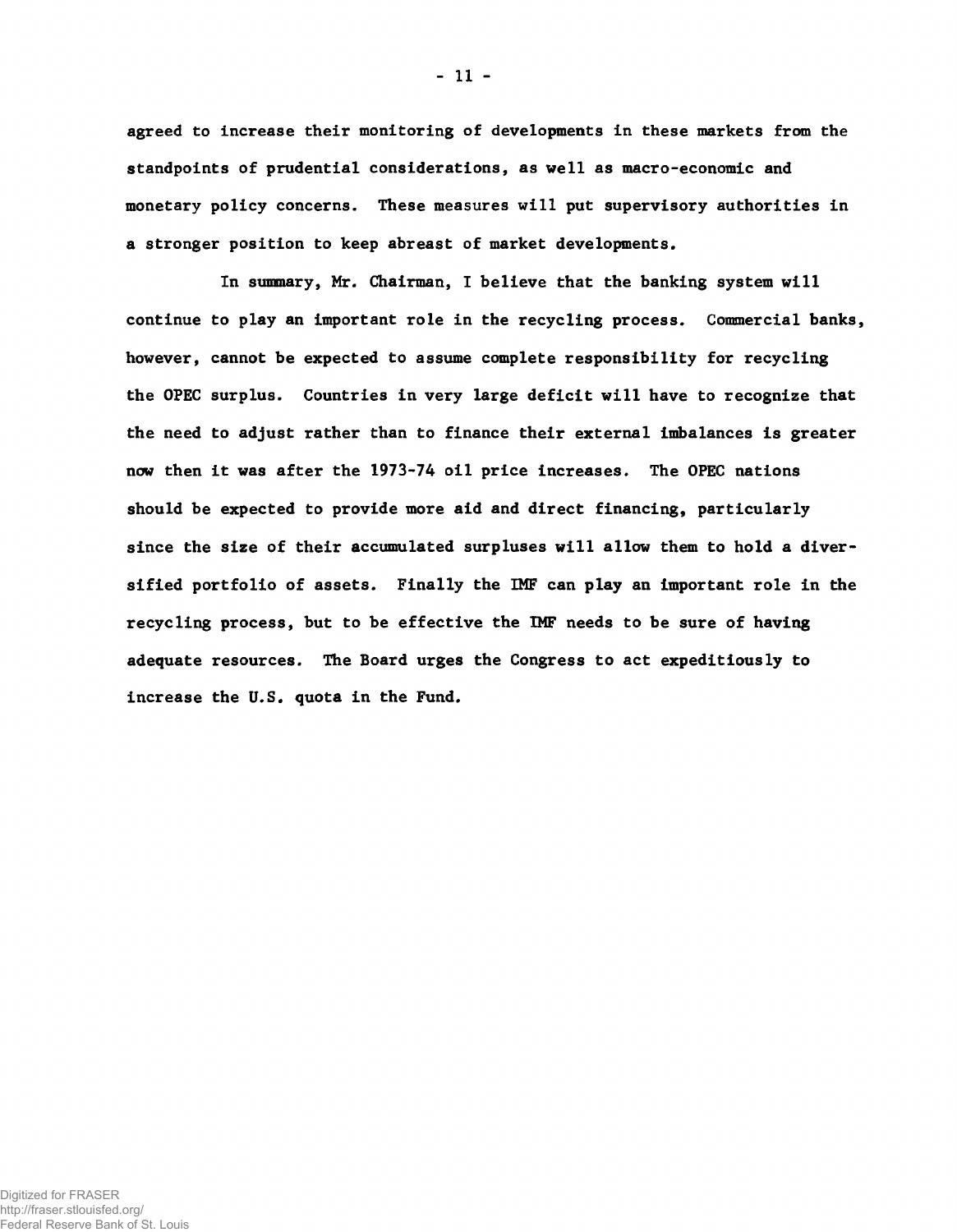agreed to increase their monitoring of developments in these markets from the standpoints of prudential considerations, as well as macro-economic and monetary policy concerns. These measures will put supervisory authorities in a stronger position to keep abreast of market developments.

In summary, Mr. Chairman, I believe that the banking system will continue to play an important role in the recycling process. Commercial banks, however, cannot be expected to assume complete responsibility for recycling the OPEC surplus. Countries in very large deficit will have to recognize that the need to adjust rather than to finance their external imbalances is greater now then it was after the 1973-74 oil price increases. The OPEC nations should be expected to provide more aid and direct financing, particularly since the size of their accumulated surpluses will allow them to hold a diversified portfolio of assets. Finally the IMF can play an important role in the recycling process, but to be effective the IMF needs to be sure of having adequate resources. The Board urges the Congress to act expeditiously to increase the U.S. quota in the Fund.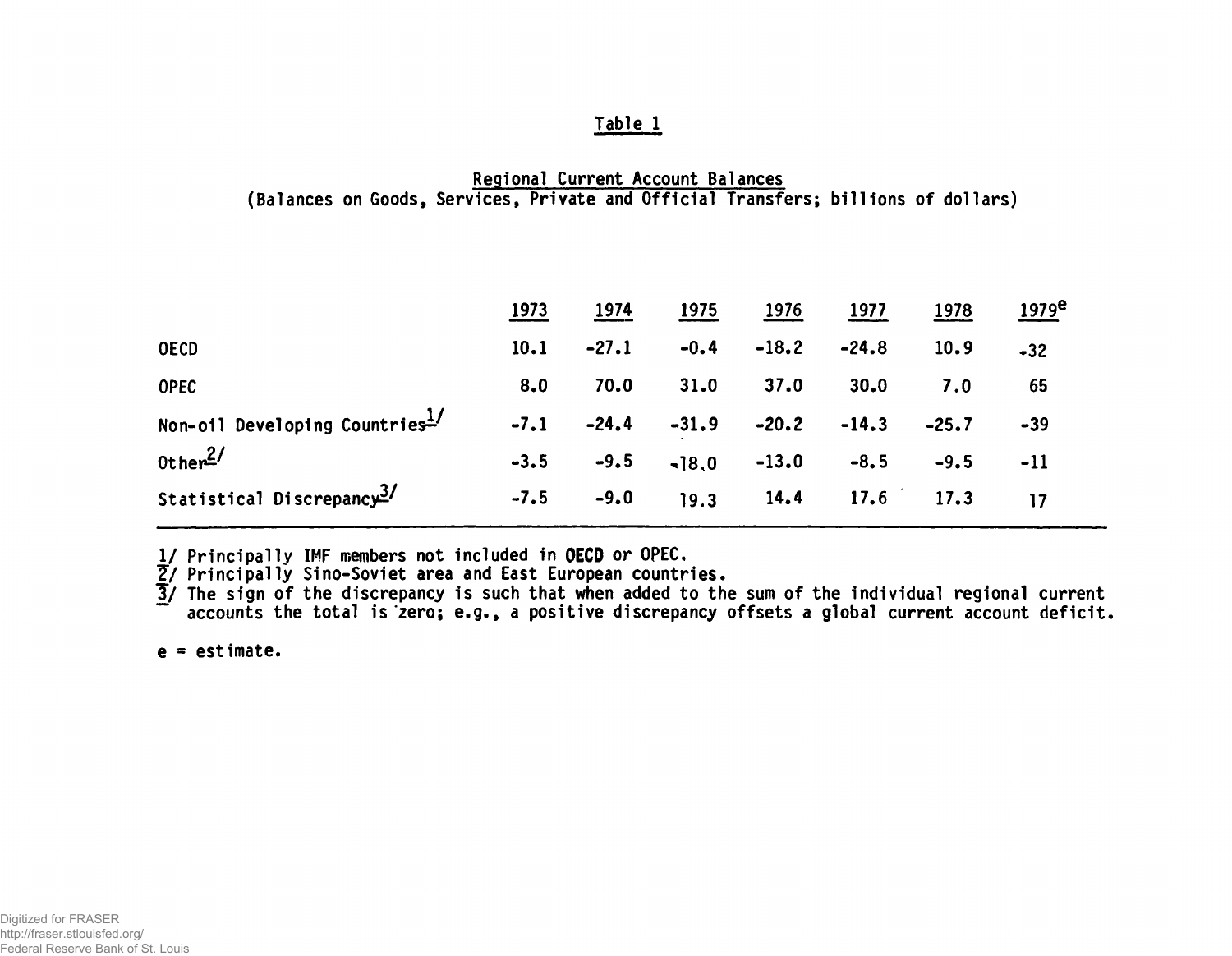## Regional Current Account Balances (Balances on Goods, Services, Private and Official Transfers; billions of dollars)

|                                       | 1973   | 1974    | 1975            | 1976    | 1977    | 1978        | <u> 1979e</u> |
|---------------------------------------|--------|---------|-----------------|---------|---------|-------------|---------------|
| <b>OECD</b>                           | 10.1   | $-27.1$ | $-0.4$          | $-18.2$ | $-24.8$ | 10.9        | $-32$         |
| <b>OPEC</b>                           | 8.0    | 70.0    | 31.0            | 37.0    | 30.0    | 7.0         | 65            |
| Non-oil Developing Countries1/        | $-7.1$ | $-24.4$ | $-31.9$         | $-20.2$ | $-14.3$ | $-25.7$     | $-39$         |
| Other <sup>2/</sup>                   | $-3.5$ | $-9.5$  | $-18,0$ $-13.0$ |         | $-8, 5$ | $-9.5$      | $-11$         |
| Statistical Discrepancy <sup>3/</sup> | $-7.5$ | $-9.0$  | 19.3            | 14.4    |         | $17.6$ 17.3 | 17            |

1/ Principally IMF members not included in OECD or OPEC,

<u>2</u>/ Principally Sino-Soviet area and East European countries.

3/ The sign of the discrepancy is such that when added to the sum of the individual regional current accounts the total is zero; e.g., a positive discrepancy offsets a global current account deficit.

 $e = e$ stimate.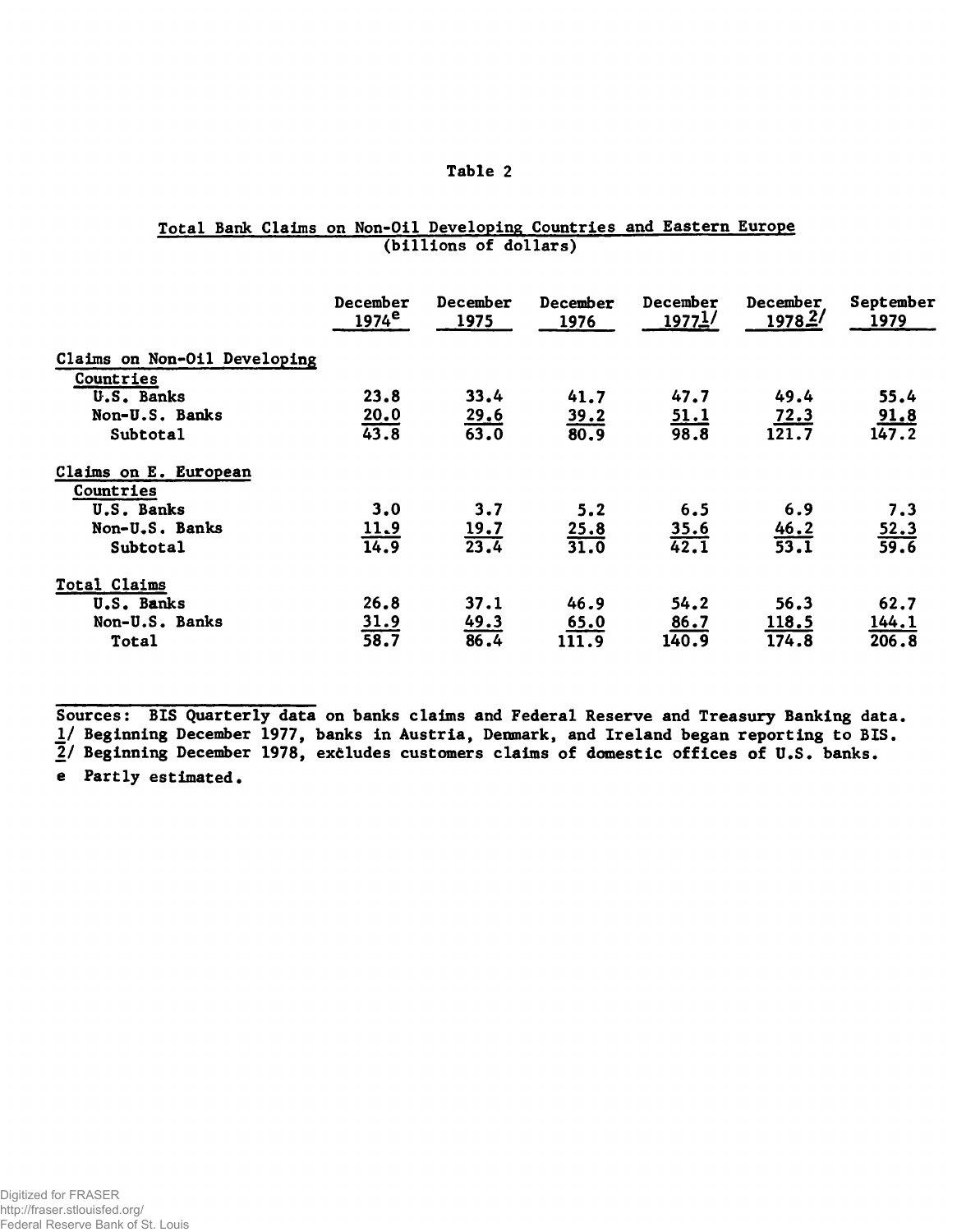|  |  | <b>Total Bank Claims on Non-Oil Developing Countries and Eastern Europe</b> |  |  |  |
|--|--|-----------------------------------------------------------------------------|--|--|--|
|  |  | (billions of dollars)                                                       |  |  |  |

|                              | December<br>1974 <sup>e</sup> | December<br>1975    | December<br>1976    | December<br>1977 <sup>1/</sup> | December<br>1978.2' | September<br>1979   |
|------------------------------|-------------------------------|---------------------|---------------------|--------------------------------|---------------------|---------------------|
| Claims on Non-Oil Developing |                               |                     |                     |                                |                     |                     |
| Countries                    |                               |                     |                     |                                |                     |                     |
| U.S. Banks                   | 23.8                          | 33.4                | 41.7                | 47.7                           | 49.4                | 55.4                |
| Non-U.S. Banks               | 20.0                          |                     |                     | <u>51.1</u>                    | 72.3                | 91.8                |
| Subtotal                     | 43.8                          | $\frac{29.6}{63.0}$ | $\frac{39.2}{80.9}$ | 98.8                           | 121.7               | 147.2               |
| Claims on E. European        |                               |                     |                     |                                |                     |                     |
| Countries                    |                               |                     |                     |                                |                     |                     |
| U.S. Banks                   | 3.0                           | 3.7                 | 5.2                 | 6.5                            | 6.9                 | 7.3                 |
| Non-U.S. Banks               |                               |                     |                     |                                |                     |                     |
| Subtotal                     | $\frac{11.9}{14.9}$           | $\frac{19.7}{23.4}$ | $\frac{25.8}{31.0}$ | $\frac{35.6}{42.1}$            | $\frac{46.2}{53.1}$ | $\frac{52.3}{59.6}$ |
| Total Claims                 |                               |                     |                     |                                |                     |                     |
| U.S. Banks                   | 26.8                          | 37.1                | 46.9                | 54.2                           | 56.3                | 62.7                |
| Non-U.S. Banks               | 31.9                          | 49.3                | 65.0                | 86.7                           | 118.5               | 144.1               |
| Total                        | 38.7                          | 86.4                | 111.9               | 140.9                          | 174.8               | 206.8               |

Sources: BIS Quarterly data on banks claims and Federal Reserve and Treasury Banking data. *If* Beginning December 1977, banks in Austria, Denmark, and Ireland began reporting to BIS. *2/* Beginning December 1978, excludes customers claims of domestic offices of U.S. banks.

e Partly estimated.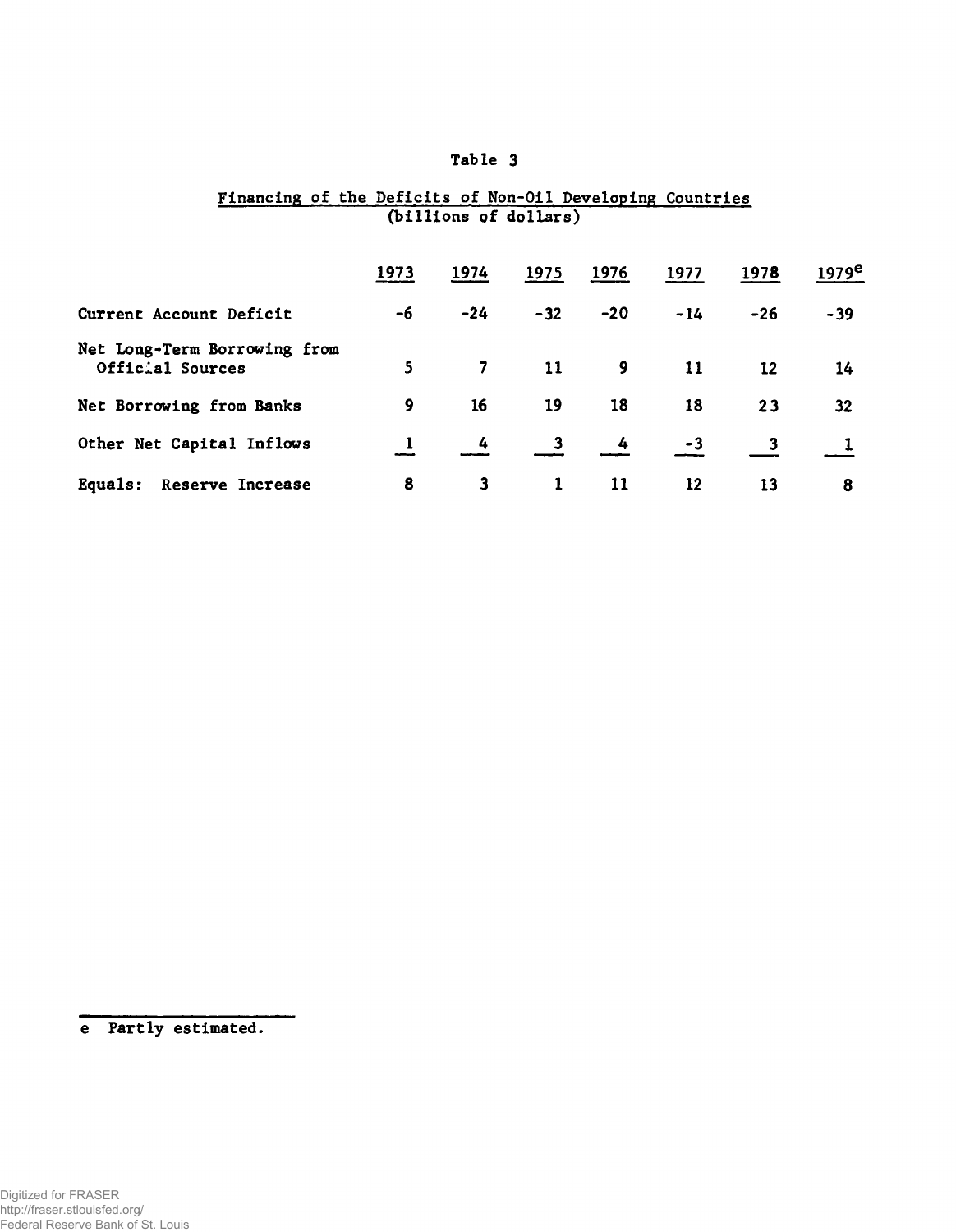### Financing of the Deficits of Non-Oil Developing Countries (billions of dollars)

|                                                  | 1973           | 1974                    | 1975                    | 1976           | 1977  | 1978      | 1979 <sup>e</sup> |
|--------------------------------------------------|----------------|-------------------------|-------------------------|----------------|-------|-----------|-------------------|
| Current Account Deficit                          | -6             | $-24$                   | $-32$                   | $-20$          | $-14$ | $-26$     | $-39$             |
| Net Long-Term Borrowing from<br>Official Sources | 5 <sup>7</sup> | $\overline{\mathbf{7}}$ | 11                      | $\overline{9}$ | 11    | <b>12</b> | 14                |
| Net Borrowing from Banks                         | 9              | 16                      | 19                      | 18             | 18    | 23        | 32                |
| Other Net Capital Inflows                        |                | 4                       | $\overline{\mathbf{3}}$ | $\frac{1}{4}$  | -3    |           |                   |
| Equals: Reserve Increase                         | 8              | $\mathbf{3}$            |                         | 11             | 12    | 13        | 8                 |

e Partly estimated.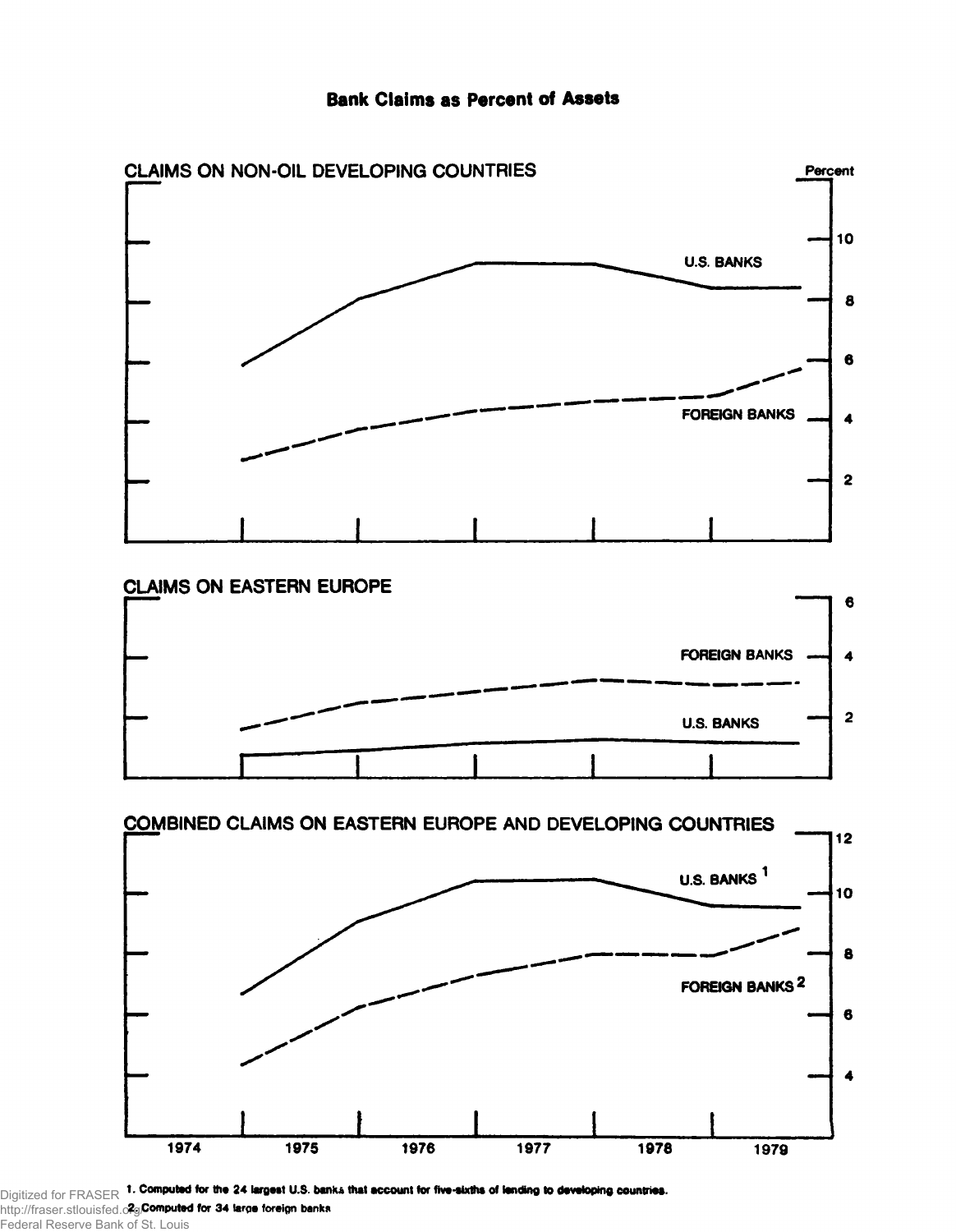





http://fraser.stlouisfed.o<del>r</del>g/ Federal Reserve Bank of St. Louis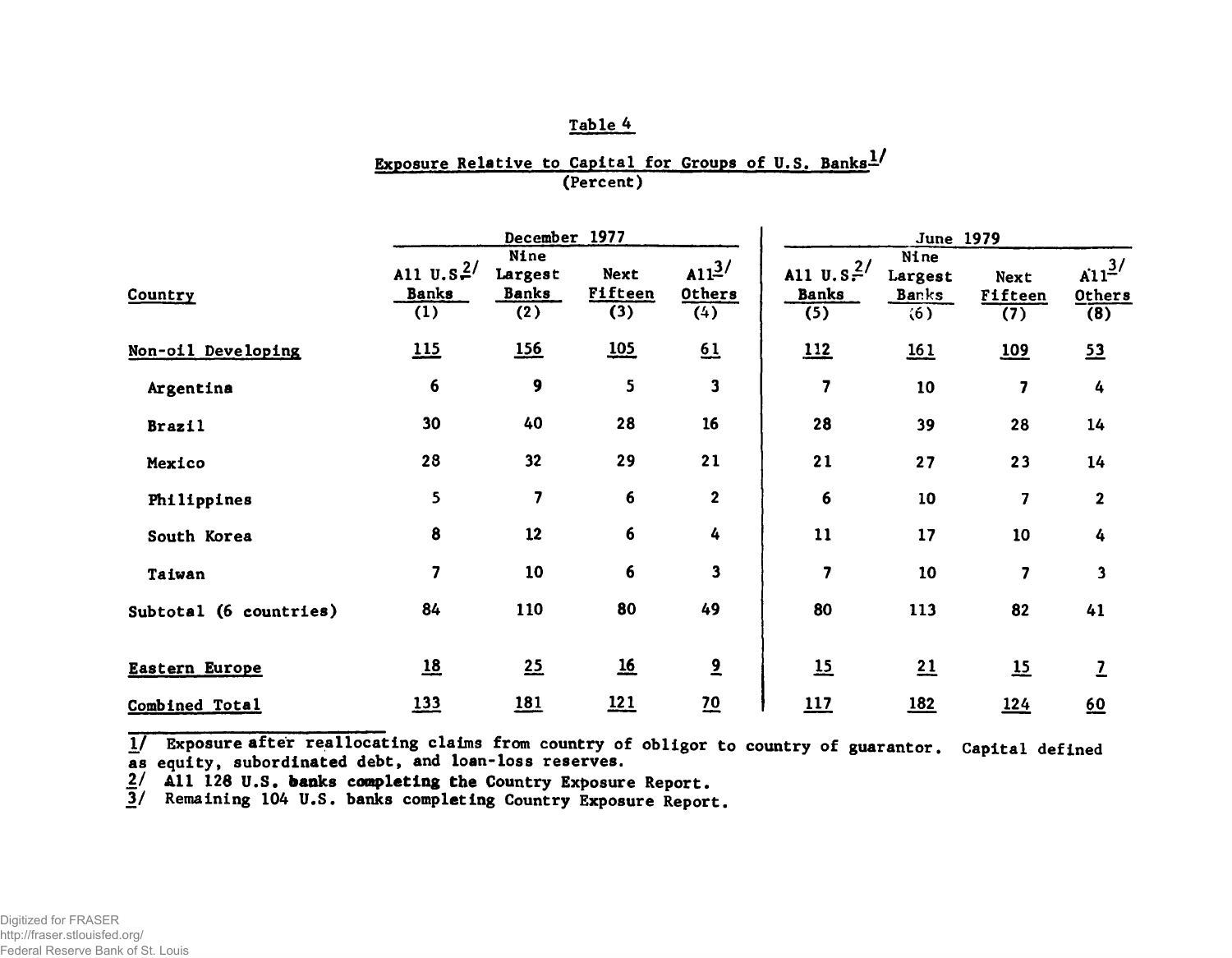# Exposure Relative to Capital for Groups of U.S. Banks $\frac{1}{2}$ (Percent)

|                        |                                               | December 1977                          |                                      |                          | <b>June 1979</b>                                                          |                                                     |                               |                                                   |  |
|------------------------|-----------------------------------------------|----------------------------------------|--------------------------------------|--------------------------|---------------------------------------------------------------------------|-----------------------------------------------------|-------------------------------|---------------------------------------------------|--|
| Country                | All $U.S.2$<br><b>Banks</b><br>$\overline{1}$ | Nine<br>Largest<br><b>Banks</b><br>(2) | <b>Next</b><br><b>Fifteen</b><br>(3) | $A11^3$<br>Others<br>(4) | All $\overline{u}$ . s <sup>2</sup> /<br><b>Banks</b><br>$\overline{(5)}$ | Nine<br>Largest<br><u>Banks</u><br>$\overline{(6)}$ | Next<br><b>Fifteen</b><br>(7) | $\sin^{3/2}$<br><b>Others</b><br>$\overline{(8)}$ |  |
| Non-oil Developing     | 115                                           | <b>156</b>                             | 105                                  | 61                       | 112                                                                       | 161                                                 | 109                           | 53                                                |  |
| Argentina              | 6                                             | 9                                      | 5                                    | $\mathbf{3}$             | 7                                                                         | 10                                                  | $\overline{\mathbf{z}}$       | 4                                                 |  |
| <b>Brazil</b>          | 30                                            | 40                                     | 28                                   | 16                       | 28                                                                        | 39                                                  | 28                            | 14                                                |  |
| Mexico                 | 28                                            | 32                                     | 29                                   | 21                       | 21                                                                        | 27                                                  | 23                            | 14                                                |  |
| Philippines            | 5                                             | $\overline{\mathbf{z}}$                | $6\phantom{1}$                       | $\mathbf 2$              | 6                                                                         | 10                                                  | $\overline{\mathbf{z}}$       | $\mathbf{2}$                                      |  |
| South Korea            | 8                                             | 12                                     | 6                                    | 4                        | 11                                                                        | 17                                                  | 10                            | 4                                                 |  |
| Taiwan                 | $\overline{7}$                                | 10                                     | 6                                    | $\overline{\mathbf{3}}$  | 7                                                                         | 10                                                  | 7                             | $\overline{\mathbf{3}}$                           |  |
| Subtotal (6 countries) | 84                                            | 110                                    | 80                                   | 49                       | 80                                                                        | 113                                                 | 82                            | 41                                                |  |
| Eastern Europe         | $\underline{18}$                              | 25                                     | <u>16</u>                            | $\overline{2}$           | $\underline{15}$                                                          | 21                                                  | 15                            | 7                                                 |  |
| Combined Total         | 133                                           | <u>181</u>                             | <u> 121</u>                          | 20                       | 117                                                                       | <u>182</u>                                          | 124                           | $\underline{60}$                                  |  |

1/ Exposure after reallocating claims from country of obligor to country of guarantor. Capital defined as equity, subordinated debt, and loan-loss reserves.

2/ All 126 U.S. banks completing the Country Exposure Report.

3/ Remaining 104 U.S. banks completing Country Exposure Report.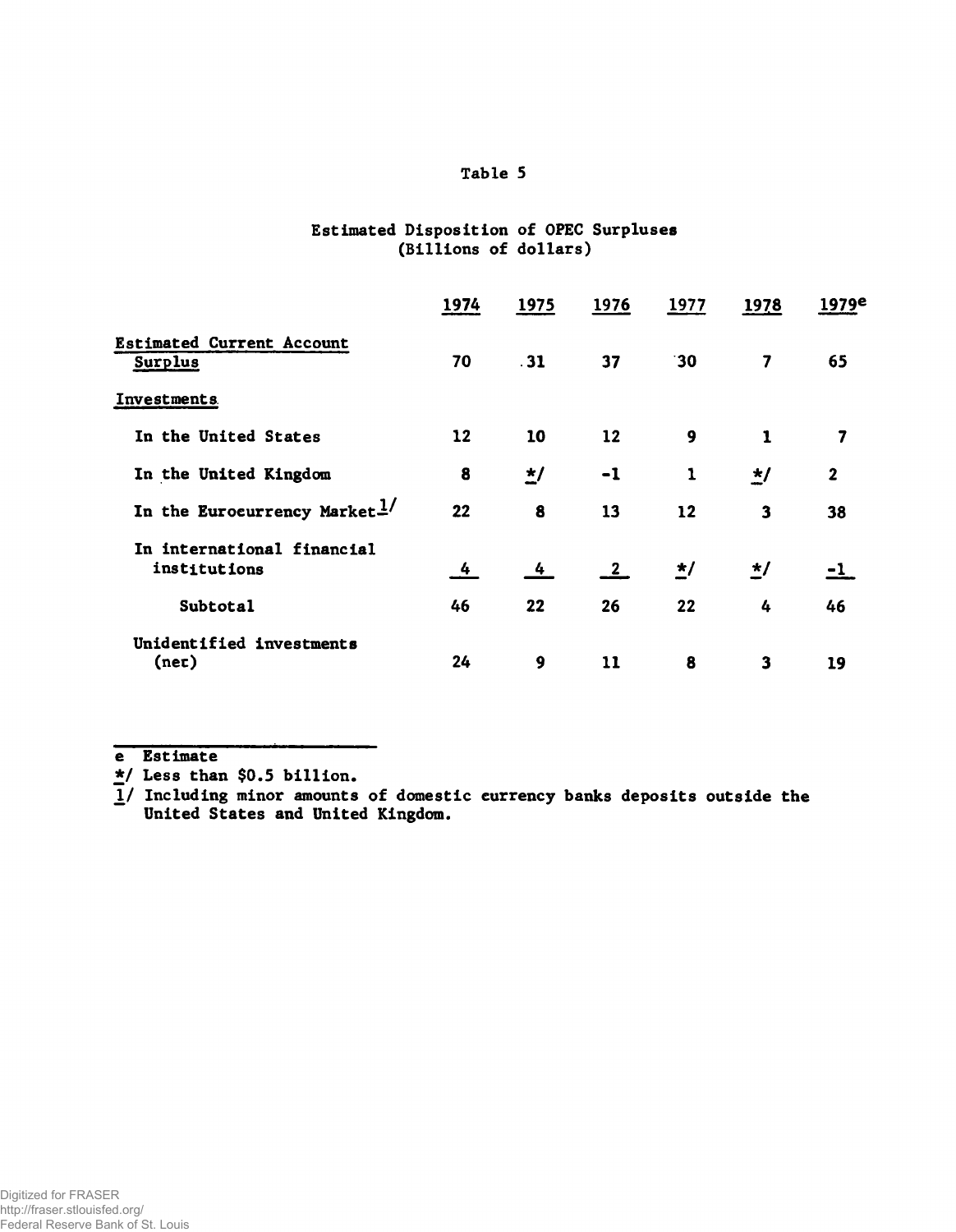## Estimated Disposition of OPEC Surpluses (Billions of dollars)

|                                             | 1974 | 1975                  | 1976                    | 1977     | 1978         | 1979e        |
|---------------------------------------------|------|-----------------------|-------------------------|----------|--------------|--------------|
| <b>Estimated Current Account</b><br>Surplus | 70   | $-31$                 | 37                      | 30       | 7            | 65           |
| Investments                                 |      |                       |                         |          |              |              |
| In the United States                        | 12   | 10                    | 12                      | 9        | $\mathbf{1}$ | 7            |
| In the United Kingdom                       | 8    | $\frac{\star}{\cdot}$ | $-1$                    | 1        | $\star/$     | $\mathbf{2}$ |
| In the Eurocurrency Market $\frac{1}{2}$    | 22   | 8                     | 13                      | 12       | 3            | 38           |
| In international financial<br>institutions  | 4    | 4                     | $\overline{\mathbf{2}}$ | $\star/$ | $\star/$     | -1           |
| Subtotal                                    | 46   | 22                    | 26                      | 22       | 4            | 46           |
| Unidentified investments<br>(nec)           | 24   | 9                     | 11                      | 8        | 3            | 19           |

e Estimate

\*/ Less than \$0.5 billion.

*\f* Including minor amounts of domestic currency banks deposits outside the United States and United Kingdom.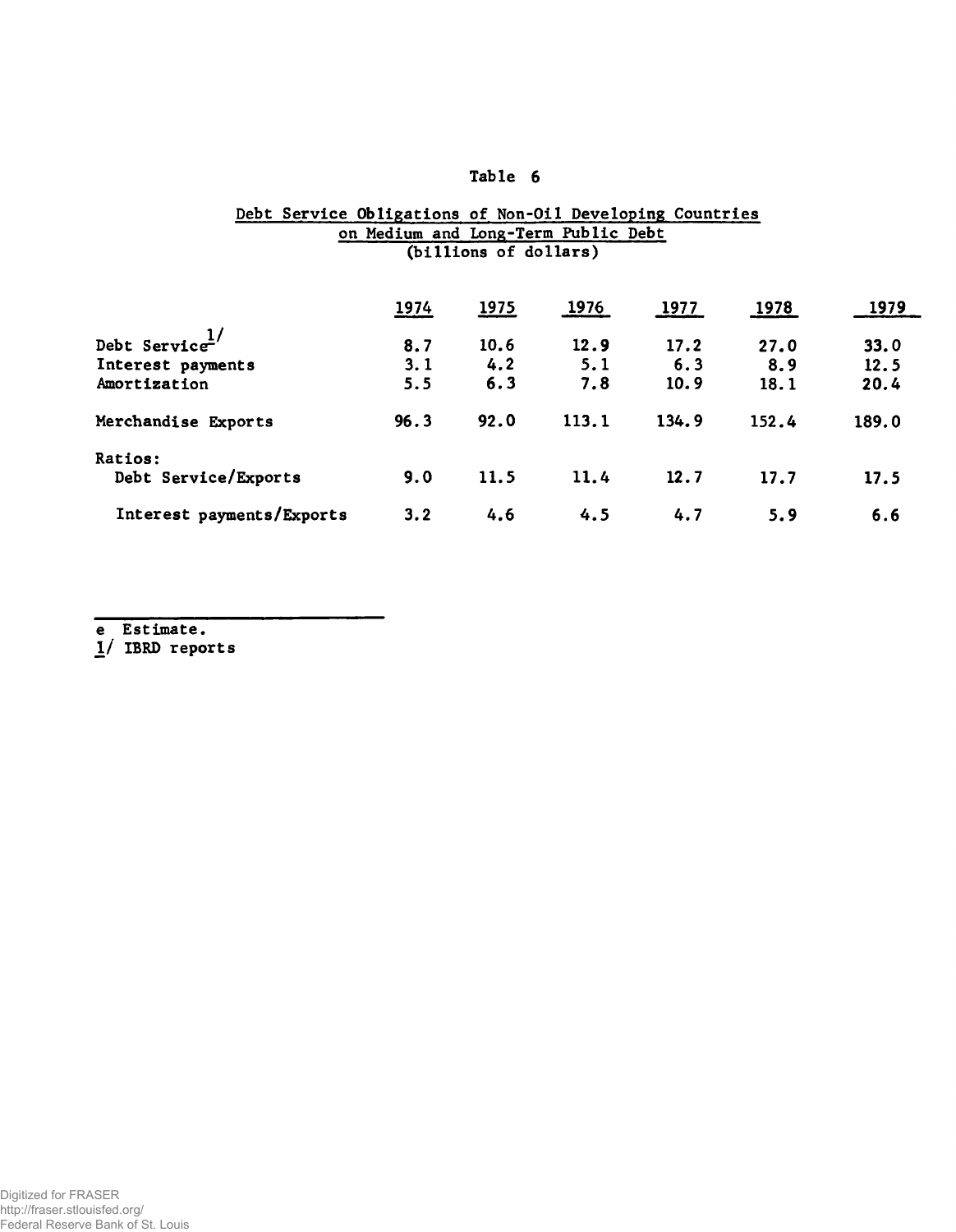#### Debt Service Obligations of Non-Oil Developing Countries on Medium and Long-Term Public Debt (billions of dollars)

|                                   | 1974 | 1975 | 1976  | 1977  | 1978  | 1979  |
|-----------------------------------|------|------|-------|-------|-------|-------|
| Debt Service $\frac{1}{\sqrt{2}}$ | 8.7  | 10.6 | 12.9  | 17.2  | 27.0  | 33.0  |
| Interest payments                 | 3.1  | 4.2  | 5.1   | 6.3   | 8.9   | 12.5  |
| Amortization                      | 5.5  | 6.3  | 7.8   | 10.9  | 18.1  | 20.4  |
| Merchandise Exports               | 96.3 | 92.0 | 113.1 | 134.9 | 152.4 | 189.0 |
| Ratios:                           |      |      |       |       |       |       |
| Debt Service/Exports              | 9.0  | 11.5 | 11.4  | 12.7  | 17.7  | 17.5  |
| Interest payments/Exports         | 3.2  | 4.6  | 4.5   | 4.7   | 5.9   | 6.6   |

e Estimate.

*1/* IBRD reports